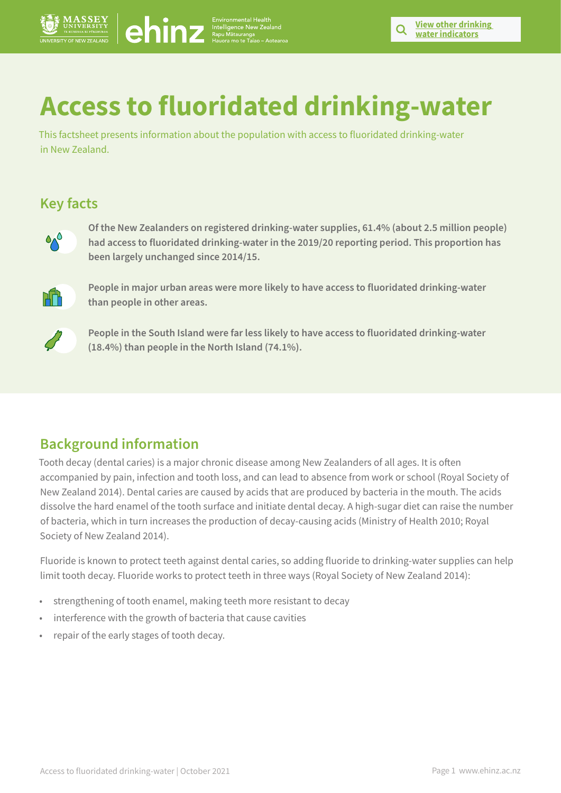# **Access to fluoridated drinking-water**

This factsheet presents information about the population with access to fluoridated drinking-water in New Zealand.

## **Key facts**



**Of the New Zealanders on registered drinking-water supplies, 61.4% (about 2.5 million people) had access to fluoridated drinking-water in the 2019/20 reporting period. This proportion has been largely unchanged since 2014/15.**



**People in major urban areas were more likely to have access to fluoridated drinking-water than people in other areas.**



**People in the South Island were far less likely to have access to fluoridated drinking-water (18.4%) than people in the North Island (74.1%).**

# **Background information**

Tooth decay (dental caries) is a major chronic disease among New Zealanders of all ages. It is often accompanied by pain, infection and tooth loss, and can lead to absence from work or school (Royal Society of New Zealand 2014). Dental caries are caused by acids that are produced by bacteria in the mouth. The acids dissolve the hard enamel of the tooth surface and initiate dental decay. A high-sugar diet can raise the number of bacteria, which in turn increases the production of decay-causing acids (Ministry of Health 2010; Royal Society of New Zealand 2014). **Access to fluoridated drinking-water speller Windows 2021 Page 10**<br>
Note that the content of the content of a content of the content of the content of the content of the content<br>
New York and the content of the content of

Fluoride is known to protect teeth against dental caries, so adding fluoride to drinking-water supplies can help limit tooth decay. Fluoride works to protect teeth in three ways (Royal Society of New Zealand 2014):

- strengthening of tooth enamel, making teeth more resistant to decay
- interference with the growth of bacteria that cause cavities
- repair of the early stages of tooth decay.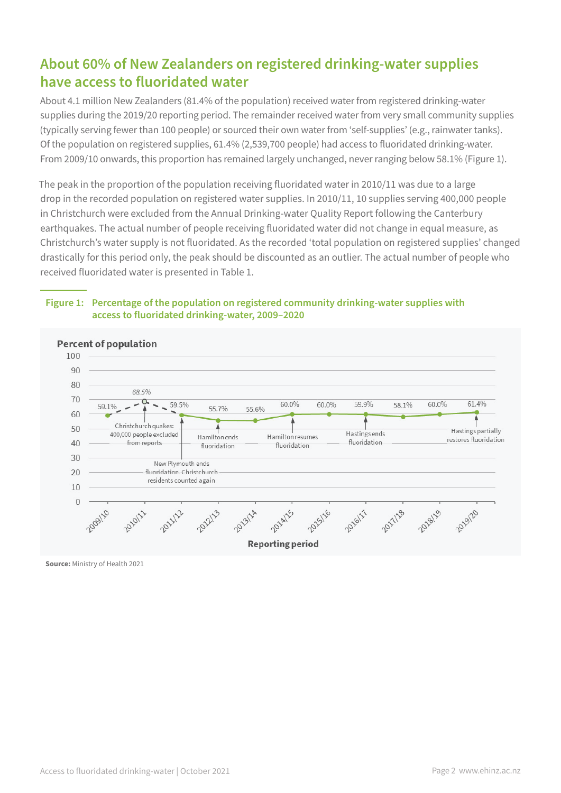# **About 60% of New Zealanders on registered drinking-water supplies have access to fluoridated water**

About 4.1 million New Zealanders (81.4% of the population) received water from registered drinking-water supplies during the 2019/20 reporting period. The remainder received water from very small community supplies (typically serving fewer than 100 people) or sourced their own water from 'self-supplies' (e.g., rainwater tanks). Of the population on registered supplies, 61.4% (2,539,700 people) had access to fluoridated drinking-water. From 2009/10 onwards, this proportion has remained largely unchanged, never ranging below 58.1% (Figure 1).

The peak in the proportion of the population receiving fluoridated water in 2010/11 was due to a large drop in the recorded population on registered water supplies. In 2010/11, 10 supplies serving 400,000 people in Christchurch were excluded from the Annual Drinking-water Quality Report following the Canterbury earthquakes. The actual number of people receiving fluoridated water did not change in equal measure, as Christchurch's water supply is not fluoridated. As the recorded 'total population on registered supplies' changed drastically for this period only, the peak should be discounted as an outlier. The actual number of people who received fluoridated water is presented in Table 1.

#### **Figure 1: Percentage of the population on registered community drinking-water supplies with access to fluoridated drinking-water, 2009–2020**

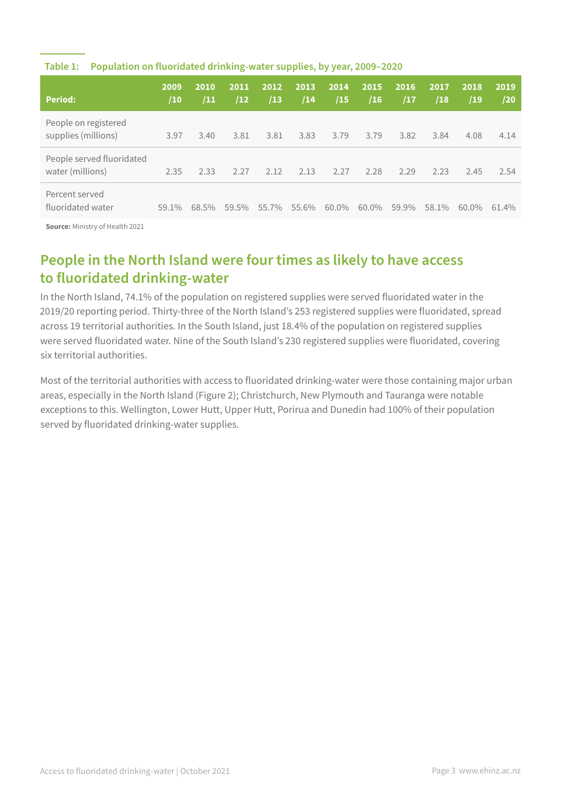| <b>Period:</b>                                | 2009<br>/10 | 2010<br>/11 | 2011<br>/12 | 2012<br>/13 | 2013 <br>/14 | 2014<br>/15 | 2015<br>/16 | 2016<br>/17 | 2017<br>/18 | 2018<br>/19 | 2019<br>/20 |
|-----------------------------------------------|-------------|-------------|-------------|-------------|--------------|-------------|-------------|-------------|-------------|-------------|-------------|
| People on registered<br>supplies (millions)   | 3.97        | 3.40        | 3.81        | 3.81        | 3.83         | 3.79        | 3.79        | 3.82        | 3.84        | 4.08        | 4.14        |
| People served fluoridated<br>water (millions) | 2.35        | 2.33        | 2.27        | 2.12        | 2.13         | 2.27        | 2.28        | 2.29        | 2.23        | 2.45        | 2.54        |
| Percent served<br>fluoridated water           | $59.1\%$    | 68.5%       | 59.5%       | 55.7%       | 55.6%        | 60.0%       | 60.0%       | 59.9%       | 58.1%       | 60.0%       | 61.4%       |

#### **Table 1: Population on fluoridated drinking-water supplies, by year, 2009–2020**

**Source:** Ministry of Health 2021

# **People in the North Island were four times as likely to have access to fluoridated drinking-water**

In the North Island, 74.1% of the population on registered supplies were served fluoridated water in the 2019/20 reporting period. Thirty-three of the North Island's 253 registered supplies were fluoridated, spread across 19 territorial authorities. In the South Island, just 18.4% of the population on registered supplies were served fluoridated water. Nine of the South Island's 230 registered supplies were fluoridated, covering six territorial authorities.

Most of the territorial authorities with access to fluoridated drinking-water were those containing major urban areas, especially in the North Island (Figure 2); Christchurch, New Plymouth and Tauranga were notable exceptions to this. Wellington, Lower Hutt, Upper Hutt, Porirua and Dunedin had 100% of their population served by fluoridated drinking-water supplies.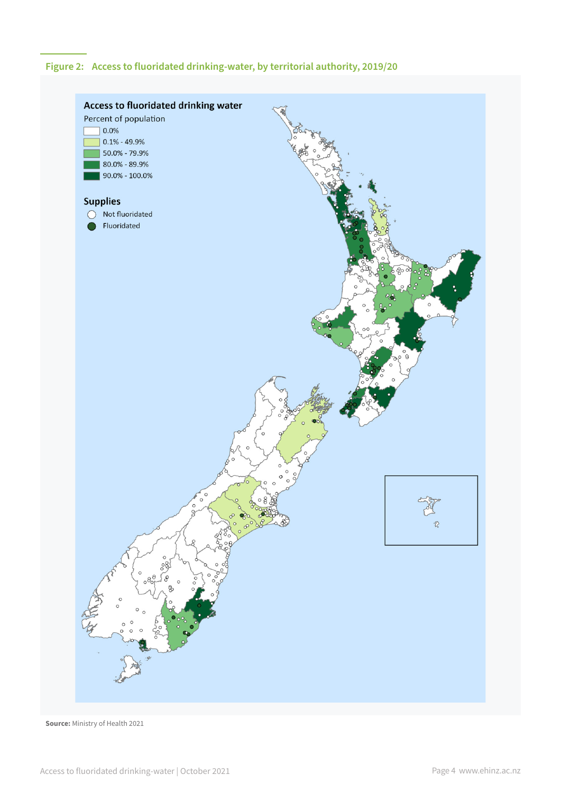### **Figure 2: Access to fluoridated drinking-water, by territorial authority, 2019/20**

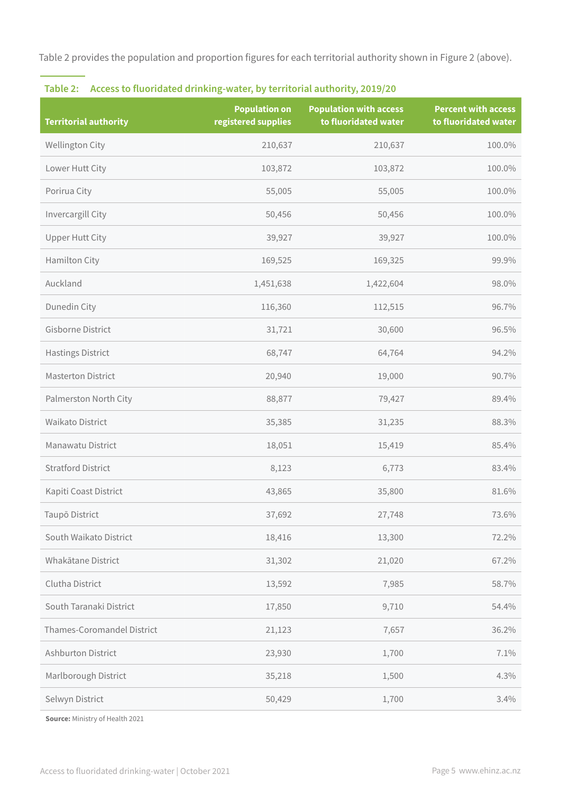Table 2 provides the population and proportion figures for each territorial authority shown in Figure 2 (above).

| <b>Territorial authority</b> | <b>Population on</b><br>registered supplies | <b>Population with access</b><br>to fluoridated water | <b>Percent with access</b><br>to fluoridated water |
|------------------------------|---------------------------------------------|-------------------------------------------------------|----------------------------------------------------|
| Wellington City              | 210,637                                     | 210,637                                               | 100.0%                                             |
| Lower Hutt City              | 103,872                                     | 103,872                                               | 100.0%                                             |
| Porirua City                 | 55,005                                      | 55,005                                                | 100.0%                                             |
| Invercargill City            | 50,456                                      | 50,456                                                | 100.0%                                             |
| <b>Upper Hutt City</b>       | 39,927                                      | 39,927                                                | 100.0%                                             |
| Hamilton City                | 169,525                                     | 169,325                                               | 99.9%                                              |
| Auckland                     | 1,451,638                                   | 1,422,604                                             | 98.0%                                              |
| Dunedin City                 | 116,360                                     | 112,515                                               | 96.7%                                              |
| Gisborne District            | 31,721                                      | 30,600                                                | 96.5%                                              |
| <b>Hastings District</b>     | 68,747                                      | 64,764                                                | 94.2%                                              |
| <b>Masterton District</b>    | 20,940                                      | 19,000                                                | 90.7%                                              |
| Palmerston North City        | 88,877                                      | 79,427                                                | 89.4%                                              |
| Waikato District             | 35,385                                      | 31,235                                                | 88.3%                                              |
| Manawatu District            | 18,051                                      | 15,419                                                | 85.4%                                              |
| <b>Stratford District</b>    | 8,123                                       | 6,773                                                 | 83.4%                                              |
| Kapiti Coast District        | 43,865                                      | 35,800                                                | 81.6%                                              |
| Taupō District               | 37,692                                      | 27,748                                                | 73.6%                                              |
| South Waikato District       | 18,416                                      | 13,300                                                | 72.2%                                              |
| Whakātane District           | 31,302                                      | 21,020                                                | 67.2%                                              |
| Clutha District              | 13,592                                      | 7,985                                                 | 58.7%                                              |
| South Taranaki District      | 17,850                                      | 9,710                                                 | 54.4%                                              |
| Thames-Coromandel District   | 21,123                                      | 7,657                                                 | 36.2%                                              |
| Ashburton District           | 23,930                                      | 1,700                                                 | 7.1%                                               |
| Marlborough District         | 35,218                                      | 1,500                                                 | 4.3%                                               |
| Selwyn District              | 50,429                                      | 1,700                                                 | 3.4%                                               |

### **Table 2: Access to fluoridated drinking-water, by territorial authority, 2019/20**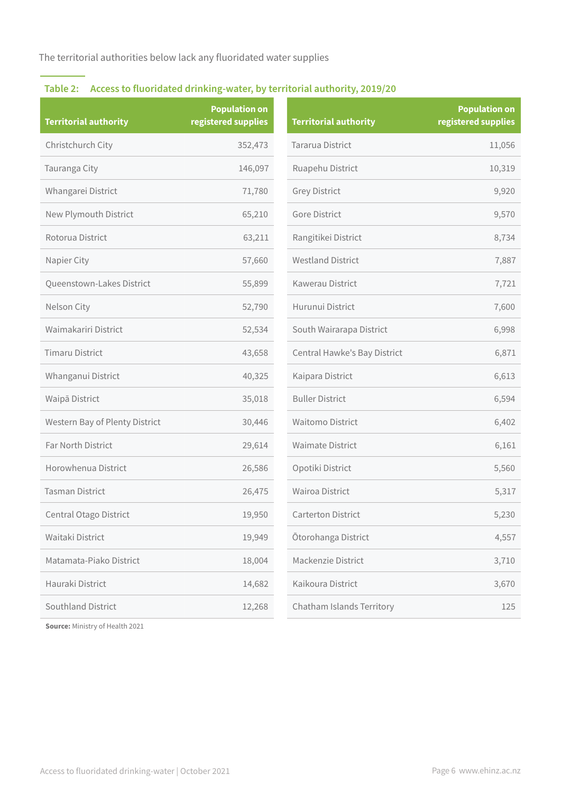The territorial authorities below lack any fluoridated water supplies

## **Table 2: Access to fluoridated drinking-water, by territorial authority, 2019/20**

| <b>Territorial authority</b>   | <b>Population on</b><br>registered supplies | <b>Territorial authority</b> | <b>Population on</b><br>registered supplies |
|--------------------------------|---------------------------------------------|------------------------------|---------------------------------------------|
| Christchurch City              | 352,473                                     | Tararua District             | 11,056                                      |
| Tauranga City                  | 146,097                                     | Ruapehu District             | 10,319                                      |
| Whangarei District             | 71,780                                      | <b>Grey District</b>         | 9,920                                       |
| New Plymouth District          | 65,210                                      | Gore District                | 9,570                                       |
| Rotorua District               | 63,211                                      | Rangitikei District          | 8,734                                       |
| Napier City                    | 57,660                                      | <b>Westland District</b>     | 7,887                                       |
| Queenstown-Lakes District      | 55,899                                      | Kawerau District             | 7,721                                       |
| Nelson City                    | 52,790                                      | Hurunui District             | 7,600                                       |
| Waimakariri District           | 52,534                                      | South Wairarapa District     | 6,998                                       |
| <b>Timaru District</b>         | 43,658                                      | Central Hawke's Bay District | 6,871                                       |
| Whanganui District             | 40,325                                      | Kaipara District             | 6,613                                       |
| Waipā District                 | 35,018                                      | <b>Buller District</b>       | 6,594                                       |
| Western Bay of Plenty District | 30,446                                      | <b>Waitomo District</b>      | 6,402                                       |
| Far North District             | 29,614                                      | <b>Waimate District</b>      | 6,161                                       |
| Horowhenua District            | 26,586                                      | Opotiki District             | 5,560                                       |
| <b>Tasman District</b>         | 26,475                                      | Wairoa District              | 5,317                                       |
| Central Otago District         | 19,950                                      | Carterton District           | 5,230                                       |
| Waitaki District               | 19,949                                      | Ōtorohanga District          | 4,557                                       |
| Matamata-Piako District        | 18,004                                      | Mackenzie District           | 3,710                                       |
| Hauraki District               | 14,682                                      | Kaikoura District            | 3,670                                       |
| Southland District             | 12,268                                      | Chatham Islands Territory    | 125                                         |